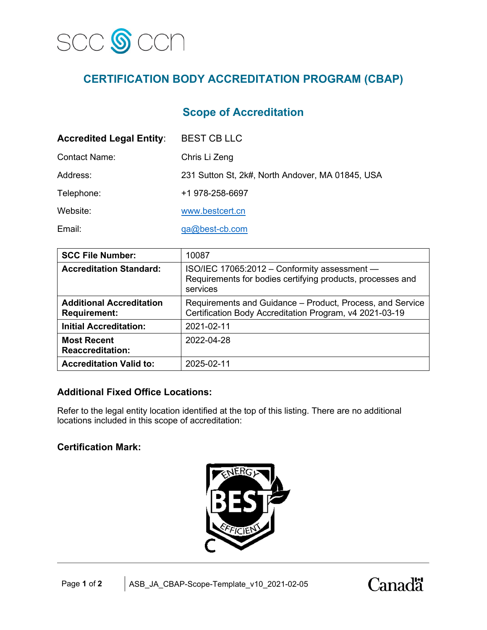

# **CERTIFICATION BODY ACCREDITATION PROGRAM (CBAP)**

## **Scope of Accreditation**

| <b>Accredited Legal Entity:</b> | <b>BEST CB LLC</b>                               |
|---------------------------------|--------------------------------------------------|
| <b>Contact Name:</b>            | Chris Li Zeng                                    |
| Address:                        | 231 Sutton St, 2k#, North Andover, MA 01845, USA |
| Telephone:                      | +1 978-258-6697                                  |
| Website:                        | www.bestcert.cn                                  |
| Email:                          | $qa@best-cb.com$                                 |

| <b>SCC File Number:</b>                                | 10087                                                                                                                  |  |
|--------------------------------------------------------|------------------------------------------------------------------------------------------------------------------------|--|
| <b>Accreditation Standard:</b>                         | ISO/IEC 17065:2012 - Conformity assessment -<br>Requirements for bodies certifying products, processes and<br>services |  |
| <b>Additional Accreditation</b><br><b>Requirement:</b> | Requirements and Guidance – Product, Process, and Service<br>Certification Body Accreditation Program, v4 2021-03-19   |  |
| <b>Initial Accreditation:</b>                          | 2021-02-11                                                                                                             |  |
| <b>Most Recent</b><br><b>Reaccreditation:</b>          | 2022-04-28                                                                                                             |  |
| <b>Accreditation Valid to:</b>                         | 2025-02-11                                                                                                             |  |

#### **Additional Fixed Office Locations:**

Refer to the legal entity location identified at the top of this listing. There are no additional locations included in this scope of accreditation:

## **Certification Mark:**